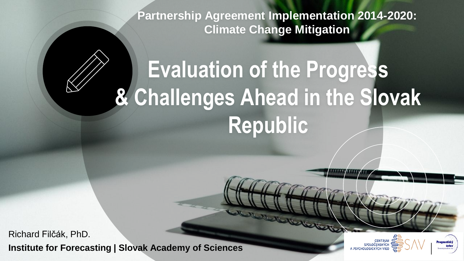**Partnership Agreement Implementation 2014-2020: Climate Change Mitigation** 

# **Evaluation of the Progress & Challenges Ahead in the Slovak Republic**

**Institute for Forecasting | Slovak Academy of Sciences** Richard Filčák, PhD.

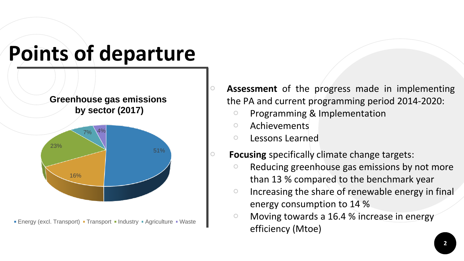



• Energy (excl. Transport) • Transport • Industry • Agriculture • Waste

○ **Assessment** of the progress made in implementing the PA and current programming period 2014-2020:

- Programming & Implementation
- Achievements
- Lessons Learned

**Focusing** specifically climate change targets:

- Reducing greenhouse gas emissions by not more than 13 % compared to the benchmark year
- Increasing the share of renewable energy in final energy consumption to 14 %
- Moving towards a 16.4 % increase in energy efficiency (Mtoe)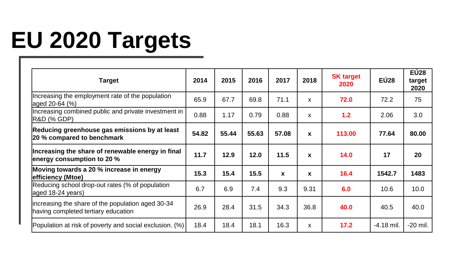## **EU 2020 Targets**

| <b>Target</b>                                                                            | 2014  | 2015  | 2016  | 2017  | 2018         | <b>SK target</b><br>2020 | <b>EÚ28</b>  | <b>EU28</b><br>target<br>2020 |
|------------------------------------------------------------------------------------------|-------|-------|-------|-------|--------------|--------------------------|--------------|-------------------------------|
| Increasing the employment rate of the population<br>aged 20-64 (%)                       | 65.9  | 67.7  | 69.8  | 71.1  | X            | 72.0                     | 72.2         | 75                            |
| Increasing combined public and private investment in<br> R&D (% GDP)                     | 0.88  | 1.17  | 0.79  | 0.88  | X            | 1.2                      | 2.06         | 3.0                           |
| Reducing greenhouse gas emissions by at least<br>20 % compared to benchmark              | 54.82 | 55.44 | 55.63 | 57.08 | X            | 113.00                   | 77.64        | 80.00                         |
| Increasing the share of renewable energy in final<br>energy consumption to 20 %          | 11.7  | 12.9  | 12.0  | 11.5  | X            | 14.0                     | 17           | 20                            |
| Moving towards a 20 % increase in energy<br>efficiency (Mtoe)                            | 15.3  | 15.4  | 15.5  | X     | $\mathbf{x}$ | 16.4                     | 1542.7       | 1483                          |
| Reducing school drop-out rates (% of population<br>aged 18-24 years)                     | 6.7   | 6.9   | 7.4   | 9.3   | 9.31         | 6.0                      | 10.6         | 10.0                          |
| increasing the share of the population aged 30-34<br>having completed tertiary education | 26.9  | 28.4  | 31.5  | 34.3  | 36.8         | 40.0                     | 40.5         | 40.0                          |
| Population at risk of poverty and social exclusion. (%)                                  | 18.4  | 18.4  | 18.1  | 16.3  | x            | 17.2                     | $-4.18$ mil. | -20 mil.                      |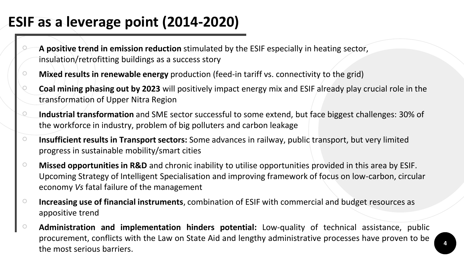#### **ESIF as a leverage point (2014-2020)**

- **A positive trend in emission reduction** stimulated by the ESIF especially in heating sector, insulation/retrofitting buildings as a success story
- **Mixed results in renewable energy** production (feed-in tariff vs. connectivity to the grid)
- **Coal mining phasing out by 2023** will positively impact energy mix and ESIF already play crucial role in the transformation of Upper Nitra Region
- **Industrial transformation** and SME sector successful to some extend, but face biggest challenges: 30% of the workforce in industry, problem of big polluters and carbon leakage
- **Insufficient results in Transport sectors:** Some advances in railway, public transport, but very limited progress in sustainable mobility/smart cities
- **Missed opportunities in R&D** and chronic inability to utilise opportunities provided in this area by ESIF. Upcoming Strategy of Intelligent Specialisation and improving framework of focus on low-carbon, circular economy *Vs* fatal failure of the management
- **Increasing use of financial instruments**, combination of ESIF with commercial and budget resources as appositive trend
- **Administration and implementation hinders potential:** Low-quality of technical assistance, public procurement, conflicts with the Law on State Aid and lengthy administrative processes have proven to be the most serious barriers.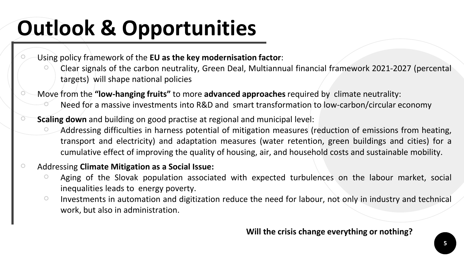### **Outlook & Opportunities**

- Using policy framework of the **EU as the key modernisation factor**:
	- Clear signals of the carbon neutrality, Green Deal, Multiannual financial framework 2021-2027 (percental targets) will shape national policies
- Move from the **"low-hanging fruits"** to more **advanced approaches** required by climate neutrality: Need for a massive investments into R&D and smart transformation to low-carbon/circular economy
- **Scaling down** and building on good practise at regional and municipal level:
	- Addressing difficulties in harness potential of mitigation measures (reduction of emissions from heating, transport and electricity) and adaptation measures (water retention, green buildings and cities) for a cumulative effect of improving the quality of housing, air, and household costs and sustainable mobility.

#### ○ Addressing **Climate Mitigation as a Social Issue:**

- Aging of the Slovak population associated with expected turbulences on the labour market, social inequalities leads to energy poverty.
- Investments in automation and digitization reduce the need for labour, not only in industry and technical work, but also in administration.

#### **Will the crisis change everything or nothing?**